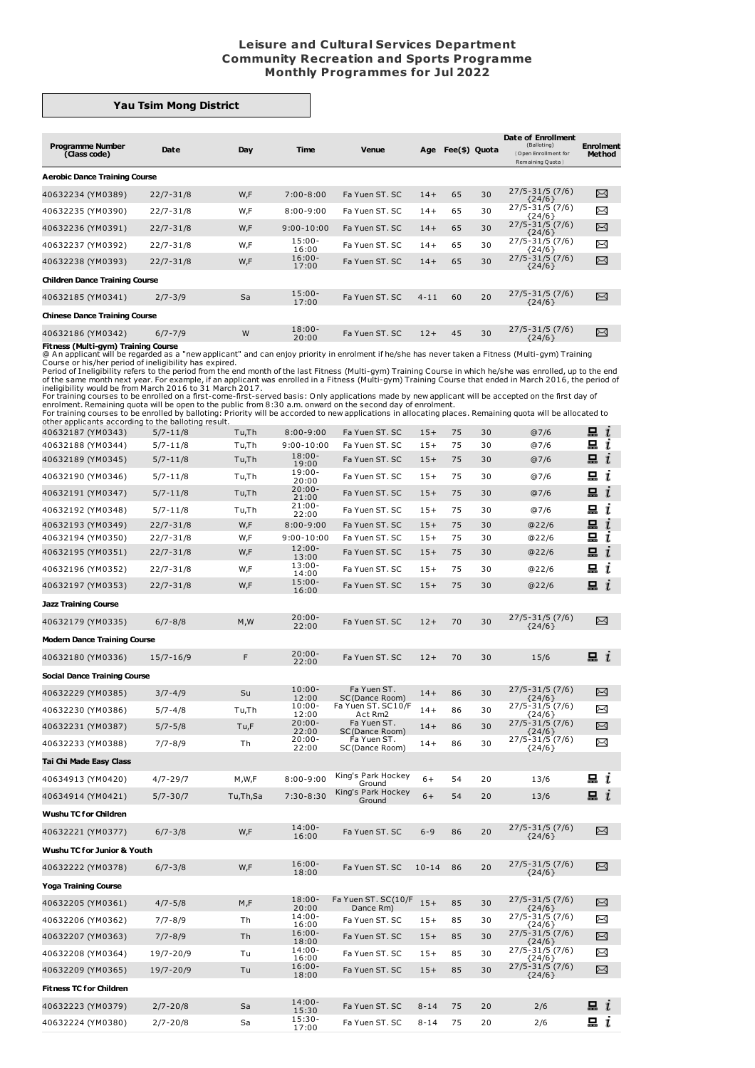## **Leisure and Cultural Services Department Community Recreation and Sports Programme Monthly Programmes for Jul 2022**

## **Yau Tsim Mong District**

| <b>Programme Number</b><br>(Class code) | Date          | Day | Time               | <b>Venue</b>   | Age      | Fee(\$) Quota |    | Date of Enrollment<br>(Balloting)<br>Open Enrollment for<br>Remaining Quota | <b>Enrolment</b><br>Method |
|-----------------------------------------|---------------|-----|--------------------|----------------|----------|---------------|----|-----------------------------------------------------------------------------|----------------------------|
| <b>Aerobic Dance Training Course</b>    |               |     |                    |                |          |               |    |                                                                             |                            |
| 40632234 (YM0389)                       | $22/7 - 31/8$ | W,F | $7:00 - 8:00$      | Fa Yuen ST, SC | $14+$    | 65            | 30 | $27/5 - 31/5$ (7/6)<br>${24/6}$                                             | X                          |
| 40632235 (YM0390)                       | $22/7 - 31/8$ | W,F | $8:00 - 9:00$      | Fa Yuen ST, SC | $14+$    | 65            | 30 | $27/5 - 31/5$ (7/6)<br>${24/6}$                                             | X                          |
| 40632236 (YM0391)                       | $22/7 - 31/8$ | W,F | $9:00 - 10:00$     | Fa Yuen ST, SC | $14+$    | 65            | 30 | $27/5 - 31/5(7/6)$<br>${24/6}$                                              | X                          |
| 40632237 (YM0392)                       | $22/7 - 31/8$ | W,F | $15:00 -$<br>16:00 | Fa Yuen ST, SC | $14+$    | 65            | 30 | $27/5 - 31/5$ (7/6)<br>${24/6}$                                             | X                          |
| 40632238 (YM0393)                       | $22/7 - 31/8$ | W,F | $16:00 -$<br>17:00 | Fa Yuen ST, SC | $14+$    | 65            | 30 | $27/5 - 31/5$ (7/6)<br>${24/6}$                                             | X                          |
| <b>Children Dance Training Course</b>   |               |     |                    |                |          |               |    |                                                                             |                            |
| 40632185 (YM0341)                       | $2/7 - 3/9$   | Sa  | $15:00 -$<br>17:00 | Fa Yuen ST, SC | $4 - 11$ | 60            | 20 | $27/5 - 31/5$ (7/6)<br>${24/6}$                                             | X                          |
| <b>Chinese Dance Training Course</b>    |               |     |                    |                |          |               |    |                                                                             |                            |
| 40632186 (YM0342)                       | $6/7 - 7/9$   | W   | $18:00 -$<br>20:00 | Fa Yuen ST, SC | $12+$    | 45            | 30 | $27/5 - 31/5$ (7/6)<br>${24/6}$                                             | X                          |
| Fitness (Multi-avm) Training Course     |               |     |                    |                |          |               |    |                                                                             |                            |

Threes (Multi-gym) Training Course are a The people and can enjoy priority in enrolment if he/she has never taken a Fitness (Multi-gym) Training<br>
(@ An applicant will be regarded as a "new applicant" and can enjoy priority

| 40632187 (YM0343)                   | $5/7 - 11/8$  | Tu,Th    | $8:00 - 9:00$      | Fa Yuen ST. SC                   | $15+$     | 75 | 30 | @7/6                        | 므<br>$\mathbf{I}$  |
|-------------------------------------|---------------|----------|--------------------|----------------------------------|-----------|----|----|-----------------------------|--------------------|
| 40632188 (YM0344)                   | $5/7 - 11/8$  | Tu,Th    | $9:00 - 10:00$     | Fa Yuen ST. SC                   | $15+$     | 75 | 30 | @7/6                        | 묘<br>ı             |
| 40632189 (YM0345)                   | $5/7 - 11/8$  | Tu,Th    | $18:00 -$<br>19:00 | Fa Yuen ST, SC                   | $15+$     | 75 | 30 | @7/6                        | $\blacksquare$ $i$ |
| 40632190 (YM0346)                   | $5/7 - 11/8$  | Tu,Th    | $19:00 -$<br>20:00 | Fa Yuen ST, SC                   | $15+$     | 75 | 30 | @7/6                        | 묘 i                |
| 40632191 (YM0347)                   | $5/7 - 11/8$  | Tu,Th    | $20:00 -$<br>21:00 | Fa Yuen ST. SC                   | $15+$     | 75 | 30 | @7/6                        | 묘 $i$              |
| 40632192 (YM0348)                   | $5/7 - 11/8$  | Tu,Th    | $21:00 -$<br>22:00 | Fa Yuen ST. SC                   | $15+$     | 75 | 30 | @7/6                        | 묘<br>i             |
| 40632193 (YM0349)                   | $22/7 - 31/8$ | W,F      | $8:00 - 9:00$      | Fa Yuen ST. SC                   | $15+$     | 75 | 30 | @22/6                       | 묘<br>i             |
| 40632194 (YM0350)                   | $22/7 - 31/8$ | W,F      | $9:00 - 10:00$     | Fa Yuen ST. SC                   | $15+$     | 75 | 30 | @22/6                       | 묘<br>$\bf{r}$      |
| 40632195 (YM0351)                   | $22/7 - 31/8$ | W,F      | $12:00 -$<br>13:00 | Fa Yuen ST. SC                   | $15+$     | 75 | 30 | @22/6                       | 묘<br>ī             |
| 40632196 (YM0352)                   | $22/7 - 31/8$ | W,F      | $13:00 -$<br>14:00 | Fa Yuen ST. SC                   | $15+$     | 75 | 30 | @22/6                       | 묘<br>ī             |
| 40632197 (YM0353)                   | $22/7 - 31/8$ | W,F      | $15:00 -$<br>16:00 | Fa Yuen ST. SC                   | $15+$     | 75 | 30 | @22/6                       | 묘 $i$              |
| <b>Jazz Training Course</b>         |               |          |                    |                                  |           |    |    |                             |                    |
| 40632179 (YM0335)                   | $6/7 - 8/8$   | M, W     | $20:00 -$<br>22:00 | Fa Yuen ST. SC                   | $12+$     | 70 | 30 | 27/5-31/5 (7/6)<br>${24/6}$ | X                  |
| <b>Modern Dance Training Course</b> |               |          |                    |                                  |           |    |    |                             |                    |
| 40632180 (YM0336)                   | $15/7 - 16/9$ | F        | $20:00 -$<br>22:00 | Fa Yuen ST. SC                   | $12+$     | 70 | 30 | 15/6                        | $\mathbf{a}$ i     |
| <b>Social Dance Training Course</b> |               |          |                    |                                  |           |    |    |                             |                    |
| 40632229 (YM0385)                   | $3/7 - 4/9$   | Su       | $10:00 -$<br>12:00 | Fa Yuen ST.<br>SC(Dance Room)    | $14+$     | 86 | 30 | 27/5-31/5 (7/6)<br>${24/6}$ | X                  |
| 40632230 (YM0386)                   | $5/7 - 4/8$   | Tu,Th    | $10:00 -$<br>12:00 | Fa Yuen ST. SC10/F<br>Act Rm2    | $14+$     | 86 | 30 | 27/5-31/5 (7/6)<br>${24/6}$ | ∝                  |
| 40632231 (YM0387)                   | $5/7 - 5/8$   | Tu,F     | $20:00 -$<br>22:00 | Fa Yuen ST.<br>SC(Dance Room)    | $14+$     | 86 | 30 | 27/5-31/5 (7/6)<br>${24/6}$ | X                  |
| 40632233 (YM0388)                   | $7/7 - 8/9$   | Th       | $20:00 -$<br>22:00 | Fa Yuen ST.<br>SC(Dance Room)    | $14+$     | 86 | 30 | 27/5-31/5 (7/6)<br>${24/6}$ | X                  |
| Tai Chi Made Easy Class             |               |          |                    |                                  |           |    |    |                             |                    |
| 40634913 (YM0420)                   | $4/7 - 29/7$  | M,W,F    | $8:00 - 9:00$      | King's Park Hockey<br>Ground     | $6+$      | 54 | 20 | 13/6                        | 묘 ા                |
| 40634914 (YM0421)                   | $5/7 - 30/7$  | Tu,Th,Sa | $7:30 - 8:30$      | King's Park Hockey<br>Ground     | $6+$      | 54 | 20 | 13/6                        | $\Xi$ $i$          |
| <b>Wushu TC for Children</b>        |               |          |                    |                                  |           |    |    |                             |                    |
| 40632221 (YM0377)                   | $6/7 - 3/8$   | W.F      | $14:00 -$<br>16:00 | Fa Yuen ST, SC                   | $6 - 9$   | 86 | 20 | 27/5-31/5 (7/6)<br>${24/6}$ | X                  |
| Wushu TC for Junior & Youth         |               |          |                    |                                  |           |    |    |                             |                    |
| 40632222 (YM0378)                   | $6/7 - 3/8$   | W.F      | $16:00 -$<br>18:00 | Fa Yuen ST, SC                   | $10 - 14$ | 86 | 20 | 27/5-31/5 (7/6)<br>${24/6}$ | ⊠                  |
| <b>Yoga Training Course</b>         |               |          |                    |                                  |           |    |    |                             |                    |
| 40632205 (YM0361)                   | $4/7 - 5/8$   | M,F      | $18:00 -$<br>20:00 | Fa Yuen ST. SC(10/F<br>Dance Rm) | $15+$     | 85 | 30 | 27/5-31/5 (7/6)<br>${24/6}$ | X                  |
| 40632206 (YM0362)                   | $7/7 - 8/9$   | Тh       | $14:00 -$<br>16:00 | Fa Yuen ST, SC                   | $15+$     | 85 | 30 | 27/5-31/5 (7/6)<br>${24/6}$ | ∝                  |
| 40632207 (YM0363)                   | $7/7 - 8/9$   | Τh       | $16:00 -$<br>18:00 | Fa Yuen ST, SC                   | $15+$     | 85 | 30 | 27/5-31/5 (7/6)<br>${24/6}$ | X                  |
| 40632208 (YM0364)                   | 19/7-20/9     | Tu       | $14:00 -$<br>16:00 | Fa Yuen ST. SC                   | $15+$     | 85 | 30 | 27/5-31/5 (7/6)<br>${24/6}$ | χ                  |
| 40632209 (YM0365)                   | 19/7-20/9     | Tu       | $16:00 -$<br>18:00 | Fa Yuen ST. SC                   | $15+$     | 85 | 30 | 27/5-31/5 (7/6)<br>${24/6}$ | X                  |
| <b>Fitness TC for Children</b>      |               |          |                    |                                  |           |    |    |                             |                    |
| 40632223 (YM0379)                   | $2/7 - 20/8$  | Sa       | $14:00 -$<br>15:30 | Fa Yuen ST. SC                   | $8 - 14$  | 75 | 20 | 2/6                         | 묘 ≀                |
| 40632224 (YM0380)                   | $2/7 - 20/8$  | Sa       | $15:30-$<br>17:00  | Fa Yuen ST, SC                   | $8 - 14$  | 75 | 20 | 2/6                         | 묘 i                |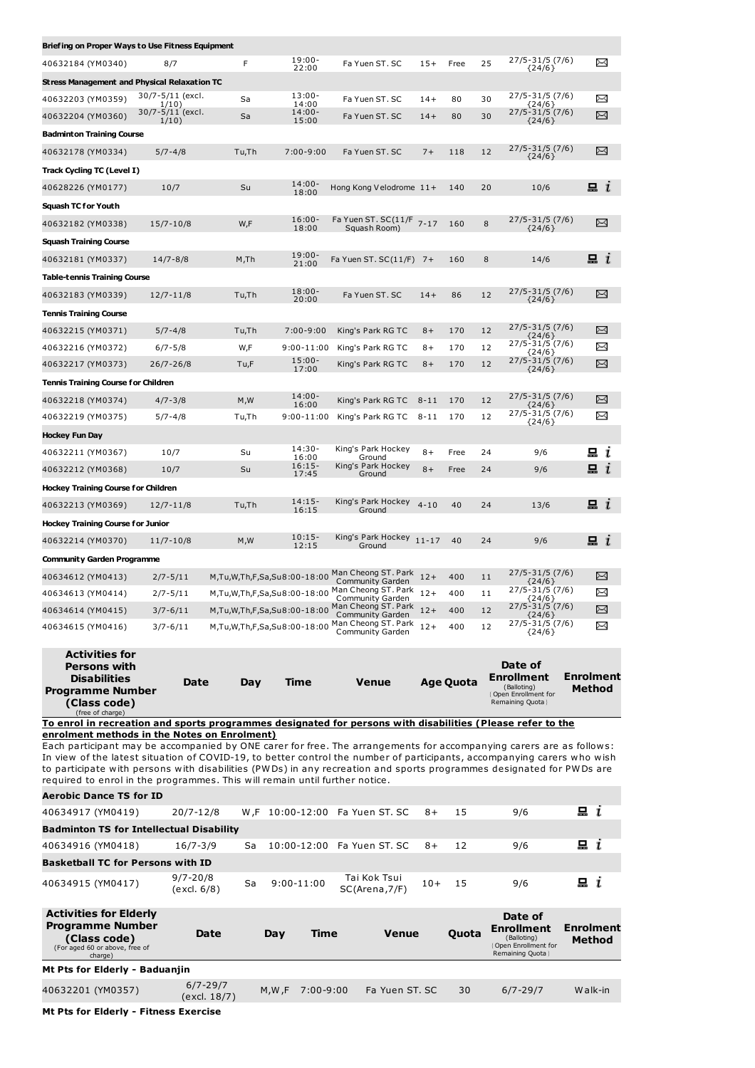| Briefing on Proper Ways to Use Fitness Equipment                                                                                                                                                    |                              |                             |                         |                                                                           |          |                  |          |                                           |                |
|-----------------------------------------------------------------------------------------------------------------------------------------------------------------------------------------------------|------------------------------|-----------------------------|-------------------------|---------------------------------------------------------------------------|----------|------------------|----------|-------------------------------------------|----------------|
| 40632184 (YM0340)                                                                                                                                                                                   | 8/7                          | F                           | $19:00 -$<br>22:00      | Fa Yuen ST. SC                                                            | $15+$    | Free             | 25       | $27/5 - 31/5$ (7/6)<br>${24/6}$           | X              |
| <b>Stress Management and Physical Relaxation TC</b>                                                                                                                                                 |                              |                             |                         |                                                                           |          |                  |          |                                           |                |
| 40632203 (YM0359)                                                                                                                                                                                   | 30/7-5/11 (excl.<br>1/10)    | Sa                          | $13:00 -$<br>14:00      | Fa Yuen ST. SC                                                            | $14+$    | 80               | 30       | 27/5-31/5 (7/6)<br>${24/6}$               | X              |
| 40632204 (YM0360)                                                                                                                                                                                   | 30/7-5/11 (excl.<br>1/10)    | Sa                          | $14:00 -$<br>15:00      | Fa Yuen ST. SC                                                            | $14+$    | 80               | 30       | 27/5-31/5 (7/6)<br>${24/6}$               | X              |
| <b>Badminton Training Course</b>                                                                                                                                                                    |                              |                             |                         |                                                                           |          |                  |          |                                           |                |
| 40632178 (YM0334)                                                                                                                                                                                   | $5/7 - 4/8$                  | Tu,Th                       | $7:00 - 9:00$           | Fa Yuen ST. SC                                                            | $7+$     | 118              | 12       | 27/5-31/5 (7/6)<br>${24/6}$               | X              |
| Track Cycling TC (Level I)                                                                                                                                                                          |                              |                             |                         |                                                                           |          |                  |          |                                           |                |
| 40628226 (YM0177)                                                                                                                                                                                   | 10/7                         | Su                          | $14:00 -$<br>18:00      | Hong Kong Velodrome 11+                                                   |          | 140              | 20       | 10/6                                      | 묘 ા            |
| <b>Squash TC for Youth</b>                                                                                                                                                                          |                              |                             |                         |                                                                           |          |                  |          |                                           |                |
| 40632182 (YM0338)                                                                                                                                                                                   | $15/7 - 10/8$                | W,F                         | $16:00 -$               | Fa Yuen ST. SC(11/F 7-17                                                  |          | 160              | 8        | 27/5-31/5 (7/6)                           | X              |
| <b>Squash Training Course</b>                                                                                                                                                                       |                              |                             | 18:00                   | Squash Room)                                                              |          |                  |          | ${24/6}$                                  |                |
| 40632181 (YM0337)                                                                                                                                                                                   | $14/7 - 8/8$                 | M,Th                        | $19:00 -$               | Fa Yuen ST. $SC(11/F)$ 7+                                                 |          | 160              | 8        | 14/6                                      | $\mathbf{a}$ i |
| <b>Table-tennis Training Course</b>                                                                                                                                                                 |                              |                             | 21:00                   |                                                                           |          |                  |          |                                           |                |
| 40632183 (YM0339)                                                                                                                                                                                   | $12/7 - 11/8$                | Tu,Th                       | $18:00 -$               | Fa Yuen ST. SC                                                            | $14+$    | 86               | 12       | 27/5-31/5 (7/6)                           | ⊠              |
| Tennis Training Course                                                                                                                                                                              |                              |                             | 20:00                   |                                                                           |          |                  |          | ${24/6}$                                  |                |
| 40632215 (YM0371)                                                                                                                                                                                   | $5/7 - 4/8$                  | Tu,Th                       | $7:00 - 9:00$           | King's Park RG TC                                                         | $8+$     | 170              | 12       | 27/5-31/5 (7/6)                           | X              |
| 40632216 (YM0372)                                                                                                                                                                                   | $6/7 - 5/8$                  | W,F                         | $9:00 - 11:00$          | King's Park RG TC                                                         | $8+$     | 170              | 12       | ${24/6}$<br>27/5-31/5 (7/6)               | X              |
| 40632217 (YM0373)                                                                                                                                                                                   | $26/7 - 26/8$                | Tu,F                        | $15:00 -$               | King's Park RG TC                                                         | $8+$     | 170              | 12       | ${24/6}$<br>27/5-31/5 (7/6)               | ⊠              |
| <b>Tennis Training Course for Children</b>                                                                                                                                                          |                              |                             | 17:00                   |                                                                           |          |                  |          | ${24/6}$                                  |                |
| 40632218 (YM0374)                                                                                                                                                                                   | $4/7 - 3/8$                  | M, W                        | $14:00 -$               | King's Park RG TC                                                         | $8 - 11$ | 170              | 12       | 27/5-31/5 (7/6)                           | X              |
| 40632219 (YM0375)                                                                                                                                                                                   | $5/7 - 4/8$                  | Tu,Th                       | 16:00<br>$9:00 - 11:00$ | King's Park RG TC                                                         | $8 - 11$ | 170              | 12       | ${24/6}$<br>27/5-31/5 (7/6)               | X              |
| Hockey Fun Day                                                                                                                                                                                      |                              |                             |                         |                                                                           |          |                  |          | ${24/6}$                                  |                |
| 40632211 (YM0367)                                                                                                                                                                                   | 10/7                         | Su                          | 14:30-                  | King's Park Hockey                                                        | $8+$     | Free             | 24       | 9/6                                       | $\Xi$ i        |
| 40632212 (YM0368)                                                                                                                                                                                   | 10/7                         | Su                          | 16:00<br>$16:15-$       | Ground<br>King's Park Hockey                                              | $8+$     | Free             | 24       | 9/6                                       | $\mathbf{a}$ i |
| <b>Hockey Training Course for Children</b>                                                                                                                                                          |                              |                             | 17:45                   | Ground                                                                    |          |                  |          |                                           |                |
| 40632213 (YM0369)                                                                                                                                                                                   | $12/7 - 11/8$                | Tu,Th                       | $14:15-$                | King's Park Hockey                                                        | $4 - 10$ | 40               | 24       | 13/6                                      | 묘 ။            |
| <b>Hockey Training Course for Junior</b>                                                                                                                                                            |                              |                             | 16:15                   | Ground                                                                    |          |                  |          |                                           |                |
| 40632214 (YM0370)                                                                                                                                                                                   | $11/7 - 10/8$                | M, W                        | $10:15-$                | King's Park Hockey 11-17                                                  |          | 40               | 24       | 9/6                                       | $\mathbf{a}$ i |
|                                                                                                                                                                                                     |                              |                             | 12:15                   | Ground                                                                    |          |                  |          |                                           |                |
| <b>Community Garden Programme</b>                                                                                                                                                                   |                              | M,Tu,W,Th,F,Sa,Su8:00-18:00 |                         | Man Cheong ST. Park                                                       | $12+$    | 400              |          | $27/5 - 31/5$ (7/6)                       | X              |
| 40634612 (YM0413)                                                                                                                                                                                   | $2/7 - 5/11$<br>$2/7 - 5/11$ | M,Tu,W,Th,F,Sa,Su8:00-18:00 |                         | Community Garden<br>Man Cheong ST. Park 12+                               |          | 400              | 11<br>11 | ${24/6}$<br>27/5-31/5 (7/6)               | X              |
| 40634613 (YM0414)<br>40634614 (YM0415)                                                                                                                                                              | $3/7 - 6/11$                 | M,Tu,W,Th,F,Sa,Su8:00-18:00 |                         | Community Garden<br>Man Cheong ST. Park                                   | $12+$    | 400              | 12       | ${24/6}$<br>27/5-31/5 (7/6)               | $\asymp$       |
| 40634615 (YM0416)                                                                                                                                                                                   | $3/7 - 6/11$                 |                             |                         | Community Garden<br>M,Tu,W,Th,F,Sa,Su8:00-18:00 Man Cheong ST. Park $12+$ |          | 400              | 12       | ${24/6}$<br>27/5-31/5 (7/6)               | X              |
|                                                                                                                                                                                                     |                              |                             |                         | Community Garden                                                          |          |                  |          | ${24/6}$                                  |                |
| <b>Activities for</b>                                                                                                                                                                               |                              |                             |                         |                                                                           |          |                  |          |                                           |                |
| <b>Persons with</b><br><b>Disabilities</b>                                                                                                                                                          |                              |                             |                         |                                                                           |          |                  |          | Date of<br>Enrollment                     | Enrolment      |
| <b>Programme Number</b>                                                                                                                                                                             | Date                         | Day                         | Time                    | <b>Venue</b>                                                              |          | <b>Age Quota</b> |          | (Balloting)<br><b>Open Enrollment for</b> | <b>Method</b>  |
| (Class code)<br>(free of charge)                                                                                                                                                                    |                              |                             |                         |                                                                           |          |                  |          | Remaining Quota }                         |                |
| To enrol in recreation and sports programmes designated for persons with disabilities (Please refer to the                                                                                          |                              |                             |                         |                                                                           |          |                  |          |                                           |                |
| enrolment methods in the Notes on Enrolment)<br>Each participant may be accompanied by ONE carer for free. The arrangements for accompanying carers are as follows:                                 |                              |                             |                         |                                                                           |          |                  |          |                                           |                |
| In view of the latest situation of COVID-19, to better control the number of participants, accompanying carers who wish                                                                             |                              |                             |                         |                                                                           |          |                  |          |                                           |                |
| to participate with persons with disabilities (PWDs) in any recreation and sports programmes designated for PWDs are<br>required to enrol in the programmes. This will remain until further notice. |                              |                             |                         |                                                                           |          |                  |          |                                           |                |
| <b>Aerobic Dance TS for ID</b>                                                                                                                                                                      |                              |                             |                         |                                                                           |          |                  |          |                                           |                |
| 40634917 (YM0419)                                                                                                                                                                                   | 20/7-12/8                    |                             |                         | W,F 10:00-12:00 Fa Yuen ST. SC                                            | $8+$     | 15               |          | 9/6                                       | i              |

| <b>Badminton TS for Intellectual Disability</b> |                             |    |                |                                  |         |    |     |              |  |  |
|-------------------------------------------------|-----------------------------|----|----------------|----------------------------------|---------|----|-----|--------------|--|--|
| 40634916 (YM0418)                               | 16/7-3/9                    |    |                | Sa 10:00-12:00 Fa Yuen ST, SC 8+ |         | 12 | 9/6 | $\mathbf{u}$ |  |  |
| <b>Basketball TC for Persons with ID</b>        |                             |    |                |                                  |         |    |     |              |  |  |
| 40634915 (YM0417)                               | $9/7 - 20/8$<br>(excl. 6/8) | Sa | $9:00 - 11:00$ | Tai Kok Tsui<br>SC(Arena, 7/F)   | $10+15$ |    | 9/6 | $\Box$ $i$   |  |  |

| <b>Activities for Elderly</b><br><b>Programme Number</b><br>(Class code)<br>(For aged 60 or above, free of<br>charge) | Date                         | Dav   | Time      | <b>Venue</b>   | Quota | Date of<br><b>Enrollment</b><br>(Balloting)<br>Open Enrollment for<br>Remaining Quota } | <b>Enrolment</b><br><b>Method</b> |
|-----------------------------------------------------------------------------------------------------------------------|------------------------------|-------|-----------|----------------|-------|-----------------------------------------------------------------------------------------|-----------------------------------|
| Mt Pts for Elderly - Baduanjin                                                                                        |                              |       |           |                |       |                                                                                         |                                   |
| 40632201 (YM0357)                                                                                                     | $6/7 - 29/7$<br>(excl. 18/7) | M.W.F | 7:00-9:00 | Fa Yuen ST, SC | 30    | $6/7 - 29/7$                                                                            | Walk-in                           |

**Mt Pts for Elderly - Fitness Exercise**